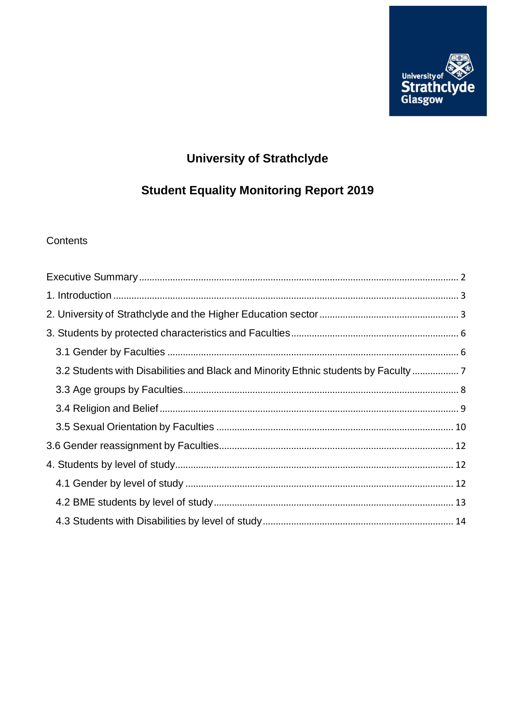

# **University of Strathclyde**

# **Student Equality Monitoring Report 2019**

# Contents

| 3.2 Students with Disabilities and Black and Minority Ethnic students by Faculty  7 |  |
|-------------------------------------------------------------------------------------|--|
|                                                                                     |  |
|                                                                                     |  |
|                                                                                     |  |
|                                                                                     |  |
|                                                                                     |  |
|                                                                                     |  |
|                                                                                     |  |
|                                                                                     |  |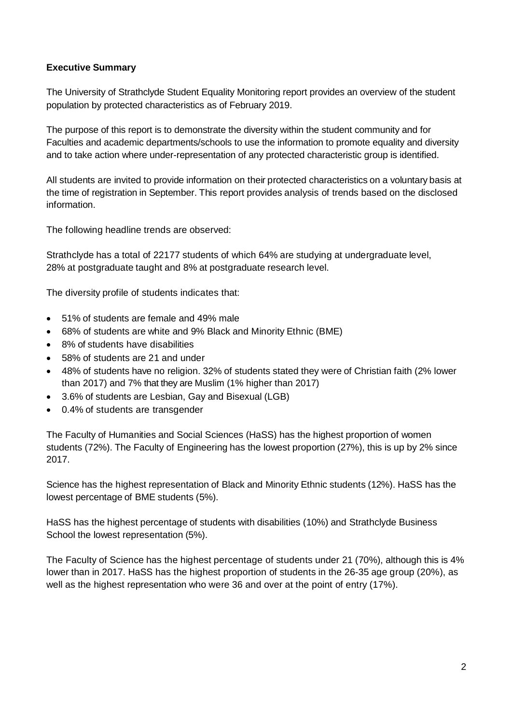#### <span id="page-1-0"></span>**Executive Summary**

The University of Strathclyde Student Equality Monitoring report provides an overview of the student population by protected characteristics as of February 2019.

The purpose of this report is to demonstrate the diversity within the student community and for Faculties and academic departments/schools to use the information to promote equality and diversity and to take action where under-representation of any protected characteristic group is identified.

All students are invited to provide information on their protected characteristics on a voluntary basis at the time of registration in September. This report provides analysis of trends based on the disclosed information.

The following headline trends are observed:

Strathclyde has a total of 22177 students of which 64% are studying at undergraduate level, 28% at postgraduate taught and 8% at postgraduate research level.

The diversity profile of students indicates that:

- 51% of students are female and 49% male
- 68% of students are white and 9% Black and Minority Ethnic (BME)
- 8% of students have disabilities
- 58% of students are 21 and under
- 48% of students have no religion. 32% of students stated they were of Christian faith (2% lower than 2017) and 7% that they are Muslim (1% higher than 2017)
- 3.6% of students are Lesbian, Gay and Bisexual (LGB)
- 0.4% of students are transgender

The Faculty of Humanities and Social Sciences (HaSS) has the highest proportion of women students (72%). The Faculty of Engineering has the lowest proportion (27%), this is up by 2% since 2017.

Science has the highest representation of Black and Minority Ethnic students (12%). HaSS has the lowest percentage of BME students (5%).

HaSS has the highest percentage of students with disabilities (10%) and Strathclyde Business School the lowest representation (5%).

The Faculty of Science has the highest percentage of students under 21 (70%), although this is 4% lower than in 2017. HaSS has the highest proportion of students in the 26-35 age group (20%), as well as the highest representation who were 36 and over at the point of entry (17%).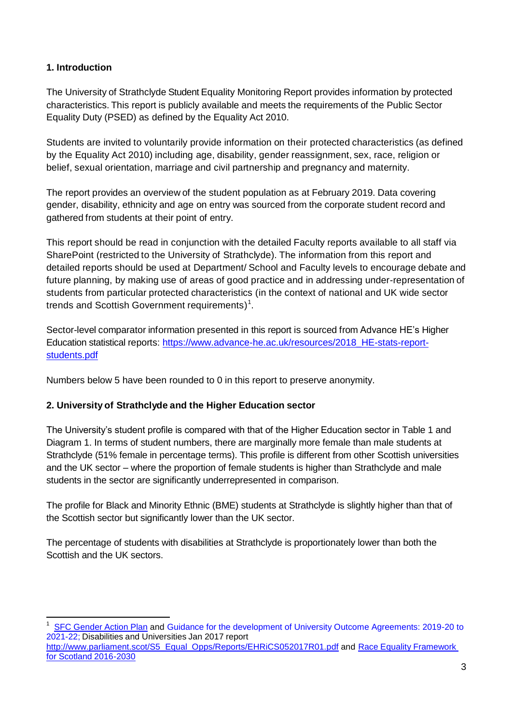#### <span id="page-2-0"></span>**1. Introduction**

 $\overline{\phantom{a}}$ 

The University of Strathclyde Student Equality Monitoring Report provides information by protected characteristics. This report is publicly available and meets the requirements of the Public Sector Equality Duty (PSED) as defined by the Equality Act 2010.

Students are invited to voluntarily provide information on their protected characteristics (as defined by the Equality Act 2010) including age, disability, gender reassignment, sex, race, religion or belief, sexual orientation, marriage and civil partnership and pregnancy and maternity.

The report provides an overview of the student population as at February 2019. Data covering gender, disability, ethnicity and age on entry was sourced from the corporate student record and gathered from students at their point of entry.

This report should be read in conjunction with the detailed Faculty reports available to all staff via SharePoint (restricted to the University of Strathclyde). The information from this report and detailed reports should be used at Department/ School and Faculty levels to encourage debate and future planning, by making use of areas of good practice and in addressing under-representation of students from particular protected characteristics (in the context of national and UK wide sector trends and Scottish Government requirements)<sup>1</sup>.

Sector-level comparator information presented in this report is sourced from Advance HE's Higher Education statistical reports: [https://www.advance-he.ac.uk/resources/2018\\_HE-stats-report](https://www.advance-he.ac.uk/resources/2018_HE-stats-report-students.pdf)[students.pdf](https://www.advance-he.ac.uk/resources/2018_HE-stats-report-students.pdf)

Numbers below 5 have been rounded to 0 in this report to preserve anonymity.

## <span id="page-2-1"></span>**2. University of Strathclyde and the Higher Education sector**

The University's student profile is compared with that of the Higher Education sector in Table 1 and Diagram 1. In terms of student numbers, there are marginally more female than male students at Strathclyde (51% female in percentage terms). This profile is different from other Scottish universities and the UK sector – where the proportion of female students is higher than Strathclyde and male students in the sector are significantly underrepresented in comparison.

The profile for Black and Minority Ethnic (BME) students at Strathclyde is slightly higher than that of the Scottish sector but significantly lower than the UK sector.

The percentage of students with disabilities at Strathclyde is proportionately lower than both the Scottish and the UK sectors.

1 SFC [Gender](http://www.sfc.ac.uk/web/FILES/Corporate_publications_SFCCP052016_GenderActionPlan/SFCCP052016_Gender_Action_Plan.pdf) Action Plan and [Guidance for the development of University Outcome Agreements: 2019-20 to](http://www.sfc.ac.uk/web/FILES/GUI_SFCGD222016_UniversityOAGuidance1718/SFC_GD_22_2016_University_OA_guidance_2017-18.pdf)  [2021-22;](http://www.sfc.ac.uk/web/FILES/GUI_SFCGD222016_UniversityOAGuidance1718/SFC_GD_22_2016_University_OA_guidance_2017-18.pdf) Disabilities and Universities Jan 2017 report [http://www.parliament.scot/S5\\_Equal\\_Opps/Reports/EHRiCS052017R01.pdf](http://www.parliament.scot/S5_Equal_Opps/Reports/EHRiCS052017R01.pdf) and Race Equality [Framework](http://www.gov.scot/Publications/2016/03/4084) for Scotland [2016-2030](http://www.gov.scot/Publications/2016/03/4084)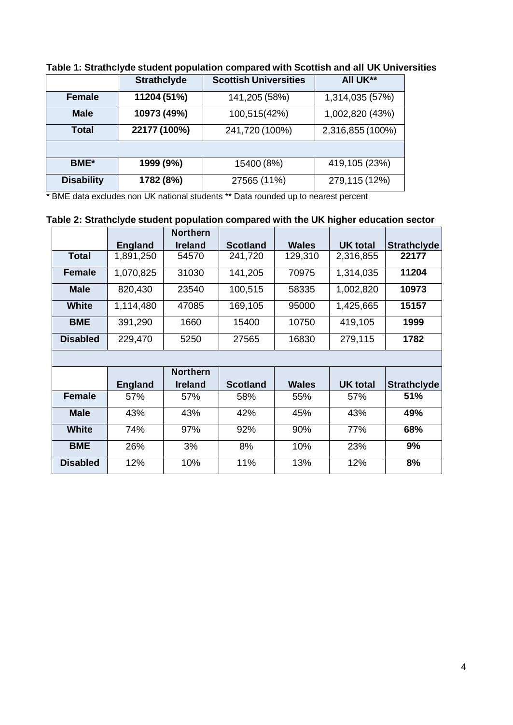|                   | <b>Strathclyde</b> | <b>Scottish Universities</b> | All UK**         |
|-------------------|--------------------|------------------------------|------------------|
| <b>Female</b>     | 11204 (51%)        | 141,205 (58%)                | 1,314,035 (57%)  |
| <b>Male</b>       | 10973 (49%)        | 100,515(42%)                 | 1,002,820 (43%)  |
| <b>Total</b>      | 22177 (100%)       | 241,720 (100%)               | 2,316,855 (100%) |
|                   |                    |                              |                  |
| <b>BME</b> *      | 1999 (9%)          | 15400 (8%)                   | 419,105 (23%)    |
| <b>Disability</b> | 1782 (8%)          | 27565 (11%)                  | 279,115 (12%)    |

# **Table 1: Strathclyde student population compared with Scottish and all UK Universities**

\* BME data excludes non UK national students \*\* Data rounded up to nearest percent

# **Table 2: Strathclyde student population compared with the UK higher education sector**

|                 |                | <b>Northern</b> |                 |              |                 |                    |
|-----------------|----------------|-----------------|-----------------|--------------|-----------------|--------------------|
|                 | <b>England</b> | <b>Ireland</b>  | <b>Scotland</b> | <b>Wales</b> | <b>UK total</b> | <b>Strathclyde</b> |
| <b>Total</b>    | 1,891,250      | 54570           | 241,720         | 129,310      | 2,316,855       | 22177              |
| <b>Female</b>   | 1,070,825      | 31030           | 141,205         | 70975        | 1,314,035       | 11204              |
| <b>Male</b>     | 820,430        | 23540           | 100,515         | 58335        | 1,002,820       | 10973              |
| <b>White</b>    | 1,114,480      | 47085           | 169,105         | 95000        | 1,425,665       | 15157              |
| <b>BME</b>      | 391,290        | 1660            | 15400           | 10750        | 419,105         | 1999               |
| <b>Disabled</b> | 229,470        | 5250            | 27565           | 16830        | 279,115         | 1782               |

|                 |                | <b>Northern</b> |                 |              |                 |                    |
|-----------------|----------------|-----------------|-----------------|--------------|-----------------|--------------------|
|                 | <b>England</b> | <b>Ireland</b>  | <b>Scotland</b> | <b>Wales</b> | <b>UK</b> total | <b>Strathclyde</b> |
| <b>Female</b>   | 57%            | 57%             | 58%             | 55%          | 57%             | 51%                |
| <b>Male</b>     | 43%            | 43%             | 42%             | 45%          | 43%             | 49%                |
| <b>White</b>    | 74%            | 97%             | 92%             | 90%          | 77%             | 68%                |
| <b>BME</b>      | 26%            | 3%              | 8%              | 10%          | 23%             | 9%                 |
| <b>Disabled</b> | 12%            | 10%             | 11%             | 13%          | 12%             | 8%                 |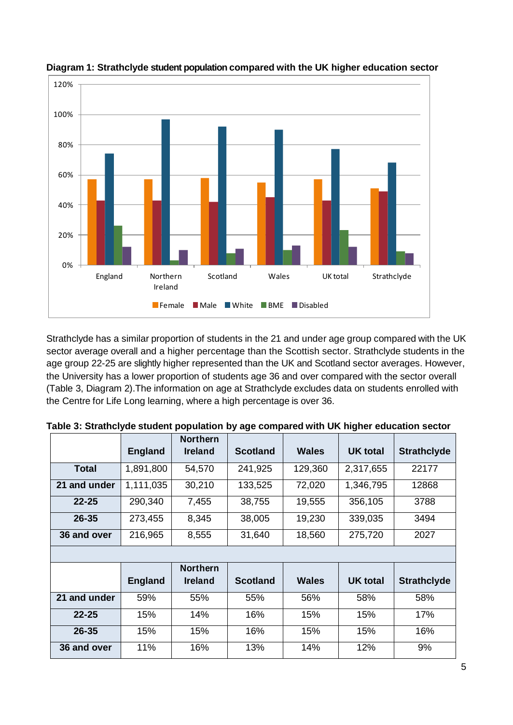



Strathclyde has a similar proportion of students in the 21 and under age group compared with the UK sector average overall and a higher percentage than the Scottish sector. Strathclyde students in the age group 22-25 are slightly higher represented than the UK and Scotland sector averages. However, the University has a lower proportion of students age 36 and over compared with the sector overall (Table 3, Diagram 2).The information on age at Strathclyde excludes data on students enrolled with the Centre for Life Long learning, where a high percentage is over 36.

|              | <b>England</b> | <b>Northern</b><br><b>Ireland</b> | <b>Scotland</b> |              | <b>UK total</b> | <b>Strathclyde</b> |  |
|--------------|----------------|-----------------------------------|-----------------|--------------|-----------------|--------------------|--|
| <b>Total</b> | 1,891,800      | 54,570                            | 241,925         | 129,360      | 2,317,655       | 22177              |  |
| 21 and under | 1,111,035      | 30,210                            | 133,525         | 72,020       | 1,346,795       | 12868              |  |
| $22 - 25$    | 290,340        | 7,455                             | 38,755          | 19,555       | 356,105         | 3788               |  |
| $26 - 35$    | 273,455        | 8,345                             | 38,005          | 19,230       | 339,035         | 3494               |  |
| 36 and over  | 216,965        | 8,555                             | 31,640          | 18,560       | 275,720         | 2027               |  |
|              |                |                                   |                 |              |                 |                    |  |
|              |                | <b>Northern</b>                   |                 |              |                 |                    |  |
|              | <b>England</b> | <b>Ireland</b>                    | <b>Scotland</b> | <b>Wales</b> | <b>UK total</b> | <b>Strathclyde</b> |  |
| 21 and under | 59%            | 55%                               | 55%             | 56%          | 58%             | 58%                |  |
| $22 - 25$    | 15%            | 14%                               | 16%             | 15%          | 15%             | 17%                |  |
| $26 - 35$    | 15%            | 15%                               | 16%             | 15%          | 15%             | 16%                |  |
| 36 and over  | 11%            | 16%                               | 13%             | 14%          | 12%             | 9%                 |  |

|  | Table 3: Strathclyde student population by age compared with UK higher education sector |  |  |  |  |  |
|--|-----------------------------------------------------------------------------------------|--|--|--|--|--|
|--|-----------------------------------------------------------------------------------------|--|--|--|--|--|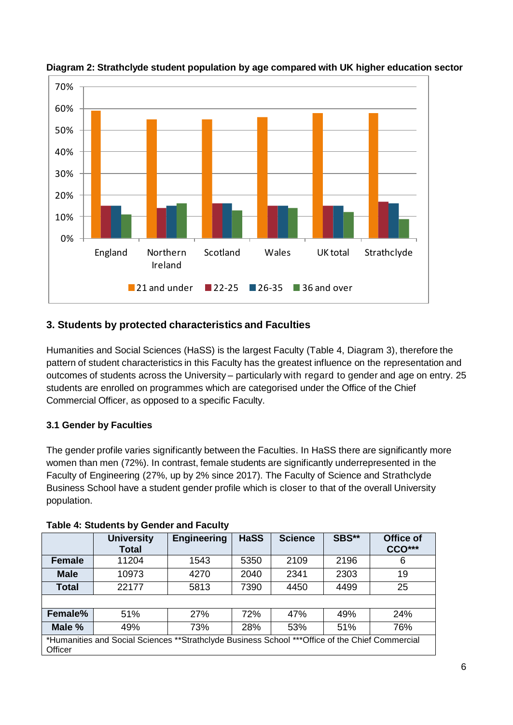

#### **Diagram 2: Strathclyde student population by age compared with UK higher education sector**

# <span id="page-5-0"></span>**3. Students by protected characteristics and Faculties**

Humanities and Social Sciences (HaSS) is the largest Faculty (Table 4, Diagram 3), therefore the pattern of student characteristics in this Faculty has the greatest influence on the representation and outcomes of students across the University – particularly with regard to gender and age on entry. 25 students are enrolled on programmes which are categorised under the Office of the Chief Commercial Officer, as opposed to a specific Faculty.

#### <span id="page-5-1"></span>**3.1 Gender by Faculties**

The gender profile varies significantly between the Faculties. In HaSS there are significantly more women than men (72%). In contrast, female students are significantly underrepresented in the Faculty of Engineering (27%, up by 2% since 2017). The Faculty of Science and Strathclyde Business School have a student gender profile which is closer to that of the overall University population.

|              | <b>University</b><br>Total                                                                      | <b>Engineering</b> | <b>HaSS</b> | <b>Science</b> | SBS** | Office of<br><b>CCO***</b> |  |  |  |  |
|--------------|-------------------------------------------------------------------------------------------------|--------------------|-------------|----------------|-------|----------------------------|--|--|--|--|
| Female       | 11204                                                                                           | 1543               | 5350        | 2109           | 2196  | 6                          |  |  |  |  |
| <b>Male</b>  | 10973                                                                                           | 4270               | 2040        | 2341           | 2303  | 19                         |  |  |  |  |
| <b>Total</b> | 22177                                                                                           | 5813               | 7390        | 4450           | 4499  | 25                         |  |  |  |  |
|              |                                                                                                 |                    |             |                |       |                            |  |  |  |  |
| Female%      | 51%                                                                                             | 27%                | 72%         | 47%            | 49%   | 24%                        |  |  |  |  |
| Male %       | 49%                                                                                             | 73%                | 28%         | 53%            | 51%   | 76%                        |  |  |  |  |
| Officer      | *Humanities and Social Sciences **Strathclyde Business School ***Office of the Chief Commercial |                    |             |                |       |                            |  |  |  |  |

#### **Table 4: Students by Gender and Faculty**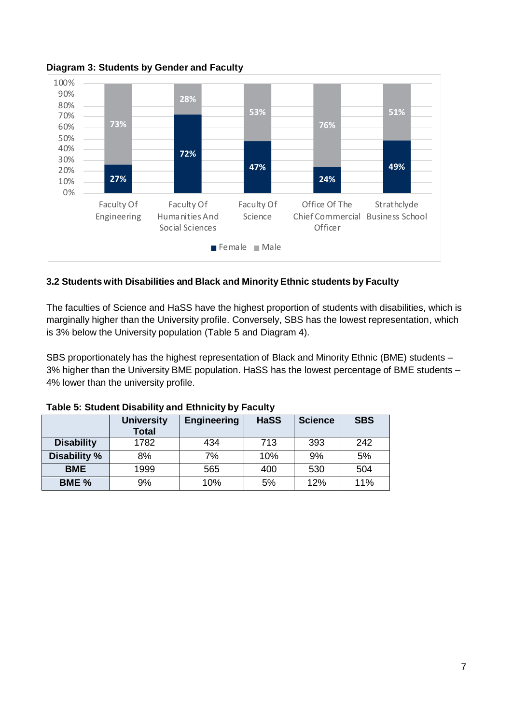

**Diagram 3: Students by Gender and Faculty**

#### <span id="page-6-0"></span>**3.2 Students with Disabilities and Black and Minority Ethnic students by Faculty**

The faculties of Science and HaSS have the highest proportion of students with disabilities, which is marginally higher than the University profile. Conversely, SBS has the lowest representation, which is 3% below the University population (Table 5 and Diagram 4).

SBS proportionately has the highest representation of Black and Minority Ethnic (BME) students – 3% higher than the University BME population. HaSS has the lowest percentage of BME students – 4% lower than the university profile.

|                   | <b>University</b><br><b>Total</b> | Engineering | <b>HaSS</b> | <b>Science</b> | <b>SBS</b> |  |  |  |  |  |  |  |
|-------------------|-----------------------------------|-------------|-------------|----------------|------------|--|--|--|--|--|--|--|
| <b>Disability</b> | 1782                              | 434         | 713         | 393            | 242        |  |  |  |  |  |  |  |
| Disability %      | 8%                                | 7%          | 10%         | 9%             | 5%         |  |  |  |  |  |  |  |
| <b>BME</b>        | 1999                              | 565         | 400         | 530            | 504        |  |  |  |  |  |  |  |
| BME %             | 9%                                | 10%         | 5%          | 12%            | 11%        |  |  |  |  |  |  |  |

| Table 5: Student Disability and Ethnicity by Faculty |  |  |
|------------------------------------------------------|--|--|
|------------------------------------------------------|--|--|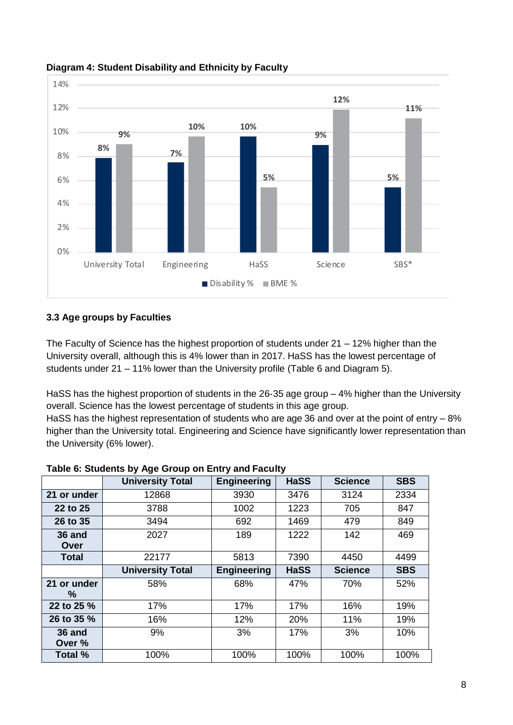

#### **Diagram 4: Student Disability and Ethnicity by Faculty**

#### <span id="page-7-0"></span>**3.3 Age groups by Faculties**

The Faculty of Science has the highest proportion of students under 21 – 12% higher than the University overall, although this is 4% lower than in 2017. HaSS has the lowest percentage of students under 21 – 11% lower than the University profile (Table 6 and Diagram 5).

HaSS has the highest proportion of students in the 26-35 age group – 4% higher than the University overall. Science has the lowest percentage of students in this age group.

HaSS has the highest representation of students who are age 36 and over at the point of entry – 8% higher than the University total. Engineering and Science have significantly lower representation than the University (6% lower).

|                  | <b>University Total</b> | <b>Engineering</b> | <b>HaSS</b> | <b>Science</b> | <b>SBS</b> |
|------------------|-------------------------|--------------------|-------------|----------------|------------|
| 21 or under      | 12868                   | 3930               | 3476        | 3124           | 2334       |
| 22 to 25         | 3788                    | 1002               | 1223        | 705            | 847        |
| 26 to 35         | 3494                    | 692                | 1469        | 479            | 849        |
| 36 and<br>Over   | 2027                    | 189                | 1222        | 142            | 469        |
| <b>Total</b>     | 22177                   | 5813<br>7390       |             | 4450           | 4499       |
|                  | <b>University Total</b> | <b>Engineering</b> | <b>HaSS</b> | <b>Science</b> | <b>SBS</b> |
| 21 or under      | 58%                     | 68%                | 47%         | 70%            | 52%        |
| %                |                         |                    | 17%         |                |            |
| 22 to 25 %       |                         | 17%<br>17%         |             | 16%            | 19%        |
| 26 to 35 %       | 16%                     | 12%                | 20%         | 11%            | 19%        |
| 36 and<br>Over % | 9%                      | 3%                 | 17%         | 3%             | 10%        |
| Total %          | 100%                    | 100%               | 100%        | 100%           | 100%       |

#### **Table 6: Students by Age Group on Entry and Faculty**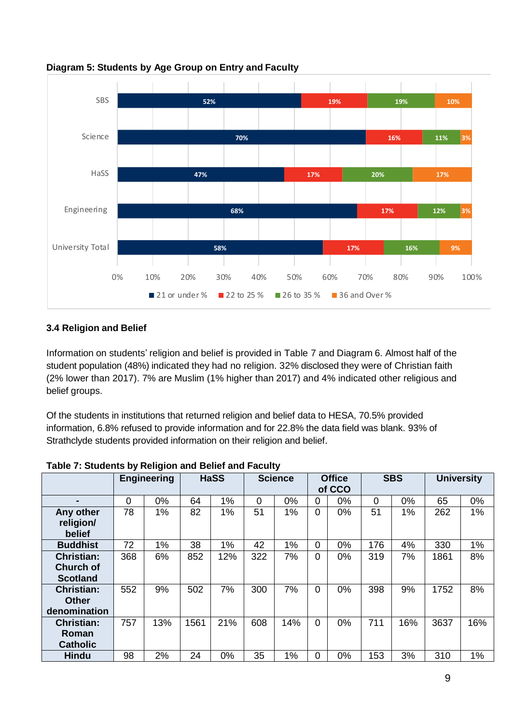

**Diagram 5: Students by Age Group on Entry and Faculty**

## <span id="page-8-0"></span>**3.4 Religion and Belief**

Information on students' religion and belief is provided in Table 7 and Diagram 6. Almost half of the student population (48%) indicated they had no religion. 32% disclosed they were of Christian faith (2% lower than 2017). 7% are Muslim (1% higher than 2017) and 4% indicated other religious and belief groups.

Of the students in institutions that returned religion and belief data to HESA, 70.5% provided information, 6.8% refused to provide information and for 22.8% the data field was blank. 93% of Strathclyde students provided information on their religion and belief.

|                                                          |     | <b>Engineering</b> |      | <b>HaSS</b> |     | <b>Science</b> |                | <b>Office</b><br>of CCO |     | <b>SBS</b> |      | <b>University</b> |
|----------------------------------------------------------|-----|--------------------|------|-------------|-----|----------------|----------------|-------------------------|-----|------------|------|-------------------|
|                                                          | 0   | $0\%$              | 64   | 1%          | 0   | $0\%$          | 0              | $0\%$                   | 0   | 0%         | 65   | 0%                |
| Any other<br>religion/<br>belief                         | 78  | 1%                 | 82   | 1%          | 51  | 1%             | 0              | 0%                      | 51  | 1%         | 262  | 1%                |
| <b>Buddhist</b>                                          | 72  | 1%                 | 38   | 1%          | 42  | 1%             | 0              | 0%                      | 176 | 4%         | 330  | 1%                |
| <b>Christian:</b><br><b>Church of</b><br><b>Scotland</b> | 368 | 6%                 | 852  | 12%         | 322 | 7%             | 0              | 0%                      | 319 | 7%         | 1861 | 8%                |
| <b>Christian:</b><br><b>Other</b><br>denomination        | 552 | 9%                 | 502  | 7%          | 300 | 7%             | 0              | 0%                      | 398 | 9%         | 1752 | 8%                |
| <b>Christian:</b><br>Roman<br><b>Catholic</b>            | 757 | 13%                | 1561 | 21%         | 608 | 14%            | $\overline{0}$ | $0\%$                   | 711 | 16%        | 3637 | 16%               |
| <b>Hindu</b>                                             | 98  | 2%                 | 24   | 0%          | 35  | 1%             | 0              | 0%                      | 153 | 3%         | 310  | 1%                |

**Table 7: Students by Religion and Belief and Faculty**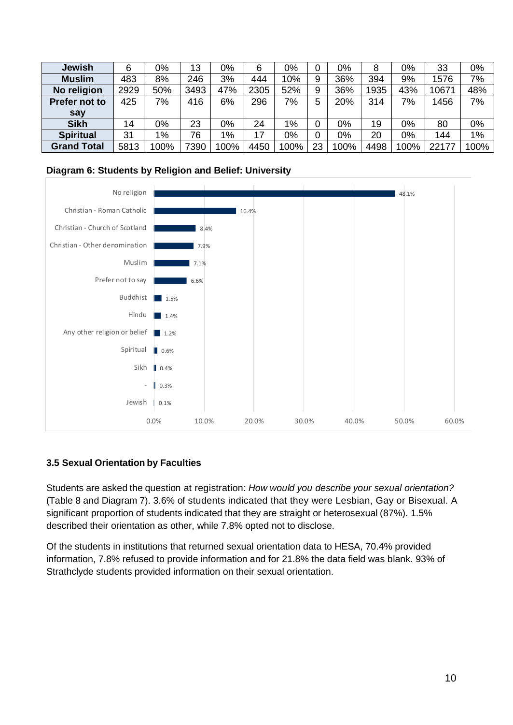| <b>Jewish</b>        | 6    | 0%    | 13   | 0%    | 6    | 0%    |    | 0%    | 8    | 0%   | 33    | 0%   |
|----------------------|------|-------|------|-------|------|-------|----|-------|------|------|-------|------|
| <b>Muslim</b>        | 483  | 8%    | 246  | 3%    | 444  | 10%   | 9  | 36%   | 394  | 9%   | 1576  | 7%   |
| No religion          | 2929 | 50%   | 3493 | 47%   | 2305 | 52%   | 9  | 36%   | 1935 | 43%  | 10671 | 48%  |
| <b>Prefer not to</b> | 425  | 7%    | 416  | 6%    | 296  | 7%    | 5  | 20%   | 314  | 7%   | 1456  | 7%   |
| say                  |      |       |      |       |      |       |    |       |      |      |       |      |
| <b>Sikh</b>          | 14   | $0\%$ | 23   | 0%    | 24   | $1\%$ |    | $0\%$ | 19   | 0%   | 80    | 0%   |
| <b>Spiritual</b>     | 31   | $1\%$ | 76   | $1\%$ | 17   | 0%    |    | $0\%$ | 20   | 0%   | 144   | 1%   |
| <b>Grand Total</b>   | 5813 | 100%  | 7390 | 100%  | 4450 | 100%  | 23 | 100%  | 4498 | 100% | 22177 | 100% |

#### **Diagram 6: Students by Religion and Belief: University**



#### <span id="page-9-0"></span>**3.5 Sexual Orientation by Faculties**

Students are asked the question at registration: *How would you describe your sexual orientation?* (Table 8 and Diagram 7). 3.6% of students indicated that they were Lesbian, Gay or Bisexual. A significant proportion of students indicated that they are straight or heterosexual (87%). 1.5% described their orientation as other, while 7.8% opted not to disclose.

Of the students in institutions that returned sexual orientation data to HESA, 70.4% provided information, 7.8% refused to provide information and for 21.8% the data field was blank. 93% of Strathclyde students provided information on their sexual orientation.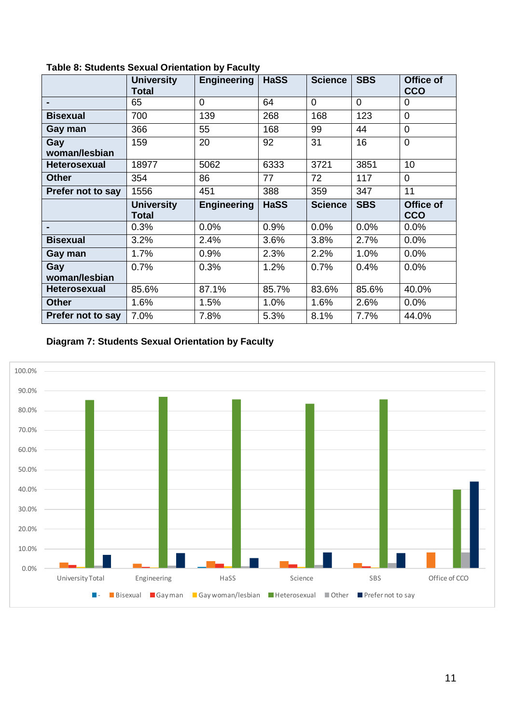|                      | <b>University</b><br><b>Total</b> | <b>Engineering</b> | <b>HaSS</b> | <b>Science</b> | <b>SBS</b> | Office of<br>CCO        |
|----------------------|-----------------------------------|--------------------|-------------|----------------|------------|-------------------------|
|                      | 65                                | $\Omega$           | 64          | 0              | 0          | $\Omega$                |
| <b>Bisexual</b>      | 700                               | 139                | 268         | 168            | 123        | $\overline{0}$          |
| Gay man              | 366                               | 55                 | 168         | 99             | 44         | $\Omega$                |
| Gay<br>woman/lesbian | 159                               | 20                 | 92          | 31             | 16         | $\overline{0}$          |
| <b>Heterosexual</b>  | 18977                             | 5062               | 6333        | 3721           | 3851       | 10                      |
| <b>Other</b>         | 354                               | 86                 | 77          | 72             | 117        | $\mathbf 0$             |
| Prefer not to say    | 1556                              | 451                | 388         | 359            | 347        | 11                      |
|                      | <b>University</b><br>Total        | <b>Engineering</b> | <b>HaSS</b> | <b>Science</b> | <b>SBS</b> | Office of<br><b>CCO</b> |
|                      | 0.3%                              | 0.0%               | 0.9%        | 0.0%           | 0.0%       | 0.0%                    |
| <b>Bisexual</b>      | 3.2%                              | 2.4%               | 3.6%        | 3.8%           | 2.7%       | 0.0%                    |
| Gay man              | 1.7%                              | 0.9%               | 2.3%        | 2.2%           | 1.0%       | 0.0%                    |
| Gay<br>woman/lesbian | 0.7%                              | 0.3%               | 1.2%        | 0.7%           | 0.4%       | 0.0%                    |
| <b>Heterosexual</b>  | 85.6%                             | 87.1%              | 85.7%       | 83.6%          | 85.6%      | 40.0%                   |
| <b>Other</b>         | 1.6%                              | 1.5%               | 1.0%        | 1.6%           | 2.6%       | 0.0%                    |
| Prefer not to say    | 7.0%                              | 7.8%               | 5.3%        | 8.1%           | 7.7%       | 44.0%                   |

**Table 8: Students Sexual Orientation by Faculty**

# **Diagram 7: Students Sexual Orientation by Faculty**

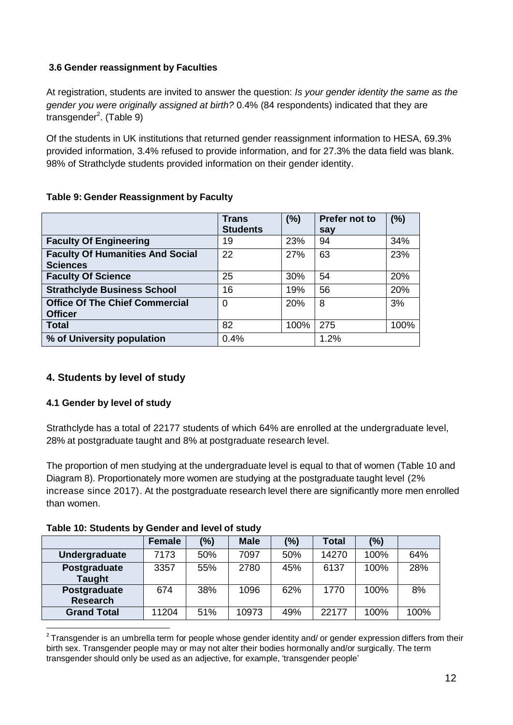#### <span id="page-11-0"></span>**3.6 Gender reassignment by Faculties**

At registration, students are invited to answer the question: *Is your gender identity the same as the gender you were originally assigned at birth?* 0.4% (84 respondents) indicated that they are transgender<sup>2</sup>. (Table 9)

Of the students in UK institutions that returned gender reassignment information to HESA, 69.3% provided information, 3.4% refused to provide information, and for 27.3% the data field was blank. 98% of Strathclyde students provided information on their gender identity.

#### **Table 9: Gender Reassignment by Faculty**

|                                                            | <b>Trans</b><br><b>Students</b> | (%)  | Prefer not to<br>say | (%)  |
|------------------------------------------------------------|---------------------------------|------|----------------------|------|
| <b>Faculty Of Engineering</b>                              | 19                              | 23%  | 94                   | 34%  |
| <b>Faculty Of Humanities And Social</b><br><b>Sciences</b> | 22                              | 27%  | 63                   | 23%  |
| <b>Faculty Of Science</b>                                  | 25                              | 30%  | 54                   | 20%  |
| <b>Strathclyde Business School</b>                         | 16                              | 19%  | 56                   | 20%  |
| <b>Office Of The Chief Commercial</b><br><b>Officer</b>    | 0                               | 20%  | 8                    | 3%   |
| <b>Total</b>                                               | 82                              | 100% | 275                  | 100% |
| % of University population                                 | 0.4%                            |      | 1.2%                 |      |

# <span id="page-11-1"></span>**4. Students by level of study**

## <span id="page-11-2"></span>**4.1 Gender by level of study**

Strathclyde has a total of 22177 students of which 64% are enrolled at the undergraduate level, 28% at postgraduate taught and 8% at postgraduate research level.

The proportion of men studying at the undergraduate level is equal to that of women (Table 10 and Diagram 8). Proportionately more women are studying at the postgraduate taught level (2% increase since 2017). At the postgraduate research level there are significantly more men enrolled than women.

#### **Table 10: Students by Gender and level of study**

|                                 | Female | (%) | <b>Male</b> | (%) | <b>Total</b> | (%)  |      |
|---------------------------------|--------|-----|-------------|-----|--------------|------|------|
| <b>Undergraduate</b>            | 7173   | 50% | 7097        | 50% | 14270        | 100% | 64%  |
| Postgraduate<br><b>Taught</b>   | 3357   | 55% | 2780        | 45% | 6137         | 100% | 28%  |
| Postgraduate<br><b>Research</b> | 674    | 38% | 1096        | 62% | 1770         | 100% | 8%   |
| <b>Grand Total</b>              | 11204  | 51% | 10973       | 49% | 22177        | 100% | 100% |

 $\overline{\phantom{a}}$  $2$  Transgender is an umbrella term for people whose gender identity and/ or gender expression differs from their birth sex. Transgender people may or may not alter their bodies hormonally and/or surgically. The term transgender should only be used as an adjective, for example, 'transgender people'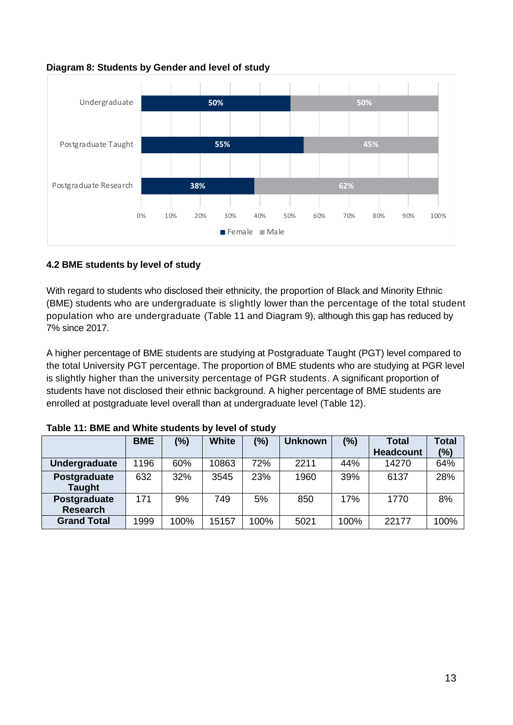#### **Diagram 8: Students by Gender and level of study**



#### <span id="page-12-0"></span>**4.2 BME students by level of study**

With regard to students who disclosed their ethnicity, the proportion of Black and Minority Ethnic (BME) students who are undergraduate is slightly lower than the percentage of the total student population who are undergraduate (Table 11 and Diagram 9), although this gap has reduced by 7% since 2017.

A higher percentage of BME students are studying at Postgraduate Taught (PGT) level compared to the total University PGT percentage. The proportion of BME students who are studying at PGR level is slightly higher than the university percentage of PGR students. A significant proportion of students have not disclosed their ethnic background. A higher percentage of BME students are enrolled at postgraduate level overall than at undergraduate level (Table 12).

|                    | <b>BME</b> | (%)  | <b>White</b> | (%)  | <b>Unknown</b> | (%)  | <b>Total</b>     | <b>Total</b> |
|--------------------|------------|------|--------------|------|----------------|------|------------------|--------------|
|                    |            |      |              |      |                |      | <b>Headcount</b> | (%)          |
| Undergraduate      | 1196       | 60%  | 10863        | 72%  | 2211           | 44%  | 14270            | 64%          |
| Postgraduate       | 632        | 32%  | 3545         | 23%  | 1960           | 39%  | 6137             | 28%          |
| <b>Taught</b>      |            |      |              |      |                |      |                  |              |
| Postgraduate       | 171        | 9%   | 749          | 5%   | 850            | 17%  | 1770             | 8%           |
| <b>Research</b>    |            |      |              |      |                |      |                  |              |
| <b>Grand Total</b> | 1999       | 100% | 15157        | 100% | 5021           | 100% | 22177            | 100%         |

**Table 11: BME and White students by level of study**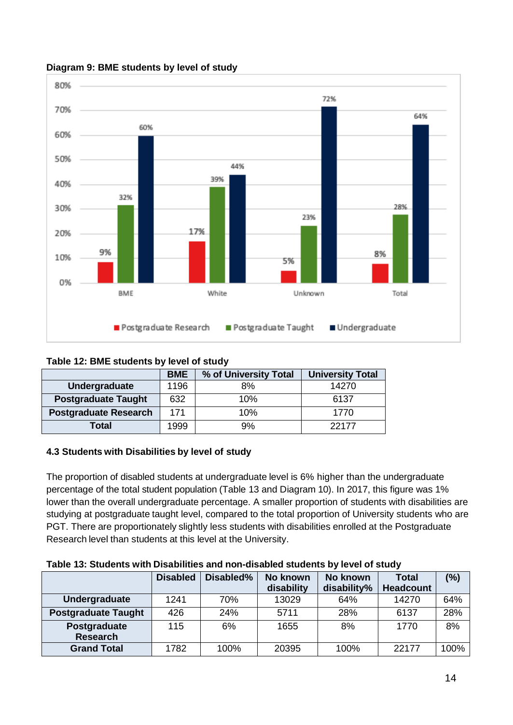

#### **Diagram 9: BME students by level of study**

## **Table 12: BME students by level of study**

|                              | <b>BME</b> | % of University Total | <b>University Total</b> |
|------------------------------|------------|-----------------------|-------------------------|
| Undergraduate                | 1196       | 8%                    | 14270                   |
| <b>Postgraduate Taught</b>   | 632        | 10%                   | 6137                    |
| <b>Postgraduate Research</b> | 171        | 10%                   | 1770                    |
| Total                        | 1999       | 9%                    | 22177                   |

## <span id="page-13-0"></span>**4.3 Students with Disabilities by level of study**

The proportion of disabled students at undergraduate level is 6% higher than the undergraduate percentage of the total student population (Table 13 and Diagram 10). In 2017, this figure was 1% lower than the overall undergraduate percentage. A smaller proportion of students with disabilities are studying at postgraduate taught level, compared to the total proportion of University students who are PGT. There are proportionately slightly less students with disabilities enrolled at the Postgraduate Research level than students at this level at the University.

#### **Table 13: Students with Disabilities and non-disabled students by level of study**

|                            | <b>Disabled</b> | Disabled%<br>No known<br>No known<br>Total |            |             |                  | (%)  |
|----------------------------|-----------------|--------------------------------------------|------------|-------------|------------------|------|
|                            |                 |                                            | disability | disability% | <b>Headcount</b> |      |
| Undergraduate              | 1241            | 70%                                        | 13029      | 64%         | 14270            | 64%  |
| <b>Postgraduate Taught</b> | 426             | 24%                                        | 5711       | 28%         | 6137             | 28%  |
| Postgraduate               | 115             | 6%                                         | 1655       | 8%          | 1770             | 8%   |
| <b>Research</b>            |                 |                                            |            |             |                  |      |
| <b>Grand Total</b>         | 1782            | 100%                                       | 20395      | 100%        | 22177            | 100% |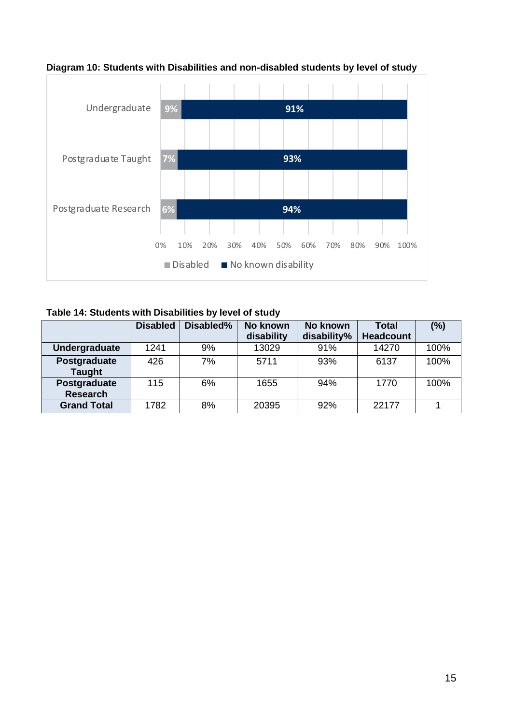

**Diagram 10: Students with Disabilities and non-disabled students by level of study**

**Table 14: Students with Disabilities by level of study**

|                                 | <b>Disabled</b> | Disabled% | No known<br>No known |             | Total            | (%)  |
|---------------------------------|-----------------|-----------|----------------------|-------------|------------------|------|
|                                 |                 |           | disability           | disability% | <b>Headcount</b> |      |
| Undergraduate                   | 1241            | 9%        | 13029                | 91%         | 14270            | 100% |
| Postgraduate<br><b>Taught</b>   | 426             | 7%        | 5711                 | 93%         | 6137             | 100% |
| Postgraduate<br><b>Research</b> | 115             | 6%        | 1655                 | 94%         | 1770             | 100% |
| <b>Grand Total</b>              | 1782            | 8%        | 20395                | 92%         | 22177            |      |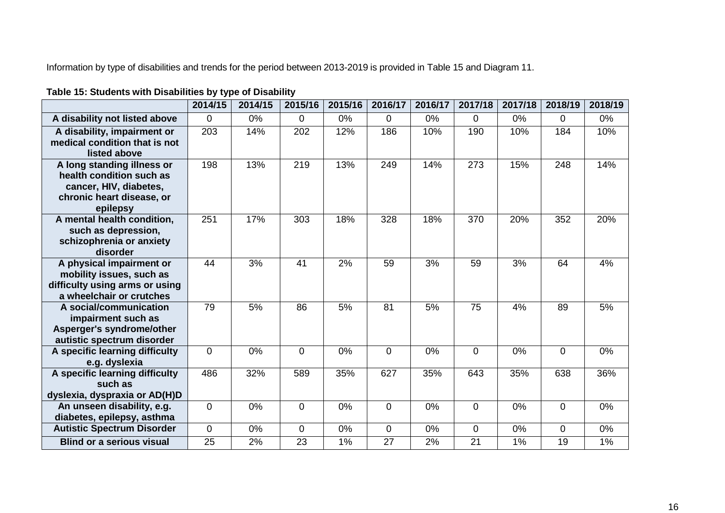Information by type of disabilities and trends for the period between 2013-2019 is provided in Table 15 and Diagram 11.

# **Table 15: Students with Disabilities by type of Disability**

|                                                                 | 2014/15     | 2014/15 | 2015/16        | 2015/16 | 2016/17 | 2016/17 | 2017/18        | 2017/18 | 2018/19        | 2018/19 |
|-----------------------------------------------------------------|-------------|---------|----------------|---------|---------|---------|----------------|---------|----------------|---------|
| A disability not listed above                                   | $\mathbf 0$ | 0%      | $\overline{0}$ | 0%      | 0       | 0%      | 0              | 0%      | $\Omega$       | $0\%$   |
| A disability, impairment or                                     | 203         | 14%     | 202            | 12%     | 186     | 10%     | 190            | 10%     | 184            | 10%     |
| medical condition that is not<br>listed above                   |             |         |                |         |         |         |                |         |                |         |
| A long standing illness or                                      | 198         | 13%     | 219            | 13%     | 249     | 14%     | 273            | 15%     | 248            | 14%     |
| health condition such as                                        |             |         |                |         |         |         |                |         |                |         |
| cancer, HIV, diabetes,                                          |             |         |                |         |         |         |                |         |                |         |
| chronic heart disease, or<br>epilepsy                           |             |         |                |         |         |         |                |         |                |         |
| A mental health condition,                                      | 251         | 17%     | 303            | 18%     | 328     | 18%     | 370            | 20%     | 352            | 20%     |
| such as depression,                                             |             |         |                |         |         |         |                |         |                |         |
| schizophrenia or anxiety<br>disorder                            |             |         |                |         |         |         |                |         |                |         |
| A physical impairment or                                        | 44          | 3%      | 41             | 2%      | 59      | 3%      | 59             | 3%      | 64             | 4%      |
| mobility issues, such as                                        |             |         |                |         |         |         |                |         |                |         |
| difficulty using arms or using                                  |             |         |                |         |         |         |                |         |                |         |
| a wheelchair or crutches                                        |             |         |                |         |         |         |                |         |                |         |
| A social/communication<br>impairment such as                    | 79          | 5%      | 86             | 5%      | 81      | 5%      | 75             | 4%      | 89             | 5%      |
| Asperger's syndrome/other                                       |             |         |                |         |         |         |                |         |                |         |
| autistic spectrum disorder                                      |             |         |                |         |         |         |                |         |                |         |
| A specific learning difficulty                                  | $\mathbf 0$ | 0%      | $\mathbf 0$    | 0%      | 0       | 0%      | $\overline{0}$ | 0%      | $\overline{0}$ | 0%      |
| e.g. dyslexia                                                   |             |         |                |         |         |         |                |         |                |         |
| A specific learning difficulty                                  | 486         | 32%     | 589            | 35%     | 627     | 35%     | 643            | 35%     | 638            | 36%     |
| such as                                                         |             |         |                |         |         |         |                |         |                |         |
| dyslexia, dyspraxia or AD(H)D                                   |             |         |                |         |         |         |                |         |                |         |
| An unseen disability, e.g.                                      | $\mathbf 0$ | 0%      | $\mathbf 0$    | 0%      | 0       | 0%      | 0              | 0%      | $\overline{0}$ | 0%      |
| diabetes, epilepsy, asthma<br><b>Autistic Spectrum Disorder</b> | $\mathbf 0$ | 0%      | $\overline{0}$ | 0%      | 0       | 0%      | 0              | 0%      | $\mathbf 0$    | 0%      |
|                                                                 |             |         |                |         |         |         |                |         |                |         |
| <b>Blind or a serious visual</b>                                | 25          | 2%      | 23             | 1%      | 27      | 2%      | 21             | 1%      | 19             | 1%      |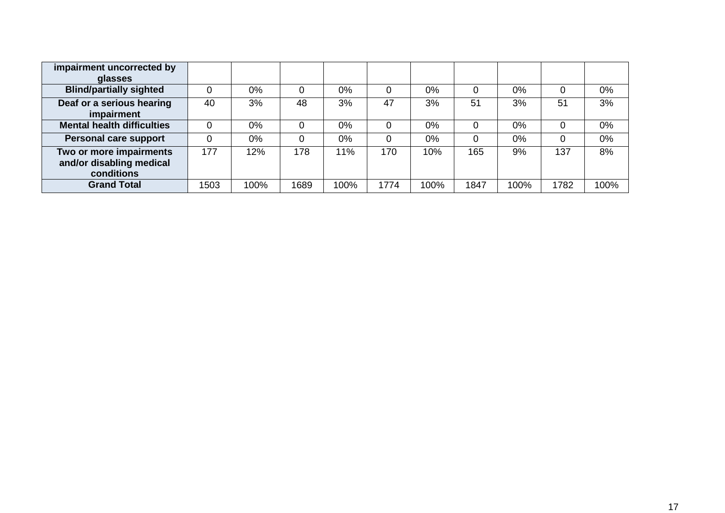| impairment uncorrected by                                         |      |       |      |       |      |       |      |       |      |       |
|-------------------------------------------------------------------|------|-------|------|-------|------|-------|------|-------|------|-------|
| glasses                                                           |      |       |      |       |      |       |      |       |      |       |
| <b>Blind/partially sighted</b>                                    |      | $0\%$ |      | $0\%$ | 0    | 0%    |      | $0\%$ |      | $0\%$ |
| Deaf or a serious hearing<br>impairment                           | 40   | 3%    | 48   | 3%    | 47   | 3%    | 51   | 3%    | 51   | 3%    |
| <b>Mental health difficulties</b>                                 |      | $0\%$ |      | $0\%$ | 0    | $0\%$ |      | $0\%$ |      | $0\%$ |
| Personal care support                                             |      | 0%    |      | $0\%$ | 0    | 0%    |      | $0\%$ |      | 0%    |
| Two or more impairments<br>and/or disabling medical<br>conditions | 177  | 12%   | 178  | 11%   | 170  | 10%   | 165  | 9%    | 137  | 8%    |
| <b>Grand Total</b>                                                | 1503 | 100%  | 1689 | 100%  | 1774 | 100%  | 1847 | 100%  | 1782 | 100%  |